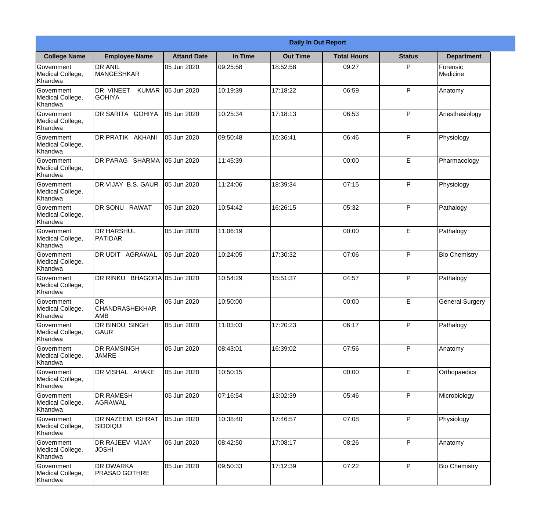|                                                  |                                            |                     |          | <b>Daily In Out Report</b> |                    |               |                        |
|--------------------------------------------------|--------------------------------------------|---------------------|----------|----------------------------|--------------------|---------------|------------------------|
| <b>College Name</b>                              | <b>Employee Name</b>                       | <b>Attand Date</b>  | In Time  | <b>Out Time</b>            | <b>Total Hours</b> | <b>Status</b> | <b>Department</b>      |
| Government<br>Medical College,<br>Khandwa        | <b>DR ANIL</b><br><b>MANGESHKAR</b>        | 05 Jun 2020         | 09:25:58 | 18:52:58                   | 09:27              | P             | Forensic<br>Medicine   |
| Government<br>Medical College,<br>Khandwa        | DR VINEET<br><b>KUMAR</b><br><b>GOHIYA</b> | 05 Jun 2020         | 10:19:39 | 17:18:22                   | 06:59              | P             | Anatomy                |
| <b>Government</b><br>Medical College,<br>Khandwa | DR SARITA GOHIYA                           | 05 Jun 2020         | 10:25:34 | 17:18:13                   | 06:53              | P             | Anesthesiology         |
| Government<br>Medical College,<br>Khandwa        | <b>DR PRATIK AKHANI</b>                    | 05 Jun 2020         | 09:50:48 | 16:36:41                   | 06:46              | P             | Physiology             |
| Government<br>Medical College,<br>Khandwa        | DR PARAG SHARMA                            | 05 Jun 2020         | 11:45:39 |                            | 00:00              | E             | Pharmacology           |
| Government<br>Medical College,<br>Khandwa        | DR VIJAY B.S. GAUR                         | 05 Jun 2020         | 11:24:06 | 18:39:34                   | 07:15              | P             | Physiology             |
| Government<br>Medical College,<br>Khandwa        | DR SONU RAWAT                              | 05 Jun 2020         | 10:54:42 | 16:26:15                   | 05:32              | P             | Pathalogy              |
| <b>Government</b><br>Medical College,<br>Khandwa | <b>DR HARSHUL</b><br>PATIDAR               | 05 Jun 2020         | 11:06:19 |                            | 00:00              | E             | Pathalogy              |
| Government<br>Medical College,<br>Khandwa        | <b>DR UDIT AGRAWAL</b>                     | 05 Jun 2020         | 10:24:05 | 17:30:32                   | 07:06              | P             | <b>Bio Chemistry</b>   |
| Government<br>Medical College,<br>Khandwa        | <b>DR RINKU</b>                            | BHAGORA 05 Jun 2020 | 10:54:29 | 15:51:37                   | 04:57              | P             | Pathalogy              |
| Government<br>Medical College,<br>Khandwa        | IDR<br><b>CHANDRASHEKHAR</b><br> AMB       | 05 Jun 2020         | 10:50:00 |                            | 00:00              | E             | <b>General Surgery</b> |
| Government<br>Medical College,<br>Khandwa        | DR BINDU SINGH<br><b>GAUR</b>              | 05 Jun 2020         | 11:03:03 | 17:20:23                   | 06:17              | P             | Pathalogy              |
| Government<br>Medical College,<br>Khandwa        | <b>DR RAMSINGH</b><br><b>JAMRE</b>         | 05 Jun 2020         | 08:43:01 | 16:39:02                   | 07:56              | P             | Anatomy                |
| Government<br>Medical College,<br>Khandwa        | DR VISHAL AHAKE                            | 05 Jun 2020         | 10:50:15 |                            | 00:00              | E             | Orthopaedics           |
| Government<br>Medical College,<br>Khandwa        | <b>DR RAMESH</b><br>AGRAWAL                | 05 Jun 2020         | 07:16:54 | 13:02:39                   | 05:46              | $\mathsf{P}$  | Microbiology           |
| Government<br>Medical College,<br>Khandwa        | <b>DR NAZEEM ISHRAT</b><br><b>SIDDIQUI</b> | 05 Jun 2020         | 10:38:40 | 17:46:57                   | 07:08              | P             | Physiology             |
| Government<br>Medical College,<br>Khandwa        | <b>DR RAJEEV VIJAY</b><br><b>JOSHI</b>     | 05 Jun 2020         | 08:42:50 | 17:08:17                   | 08:26              | P             | Anatomy                |
| Government<br>Medical College,<br>Khandwa        | <b>DR DWARKA</b><br><b>PRASAD GOTHRE</b>   | 05 Jun 2020         | 09:50:33 | 17:12:39                   | 07:22              | P             | <b>Bio Chemistry</b>   |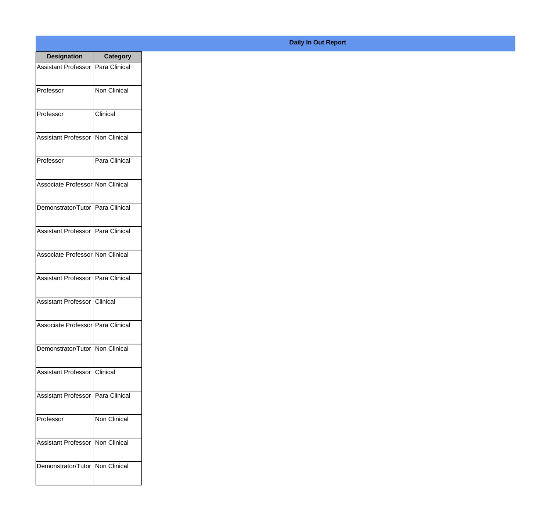| <b>Designation</b>                  | <b>Category</b>     |
|-------------------------------------|---------------------|
| Assistant Professor   Para Clinical |                     |
| Professor                           | <b>Non Clinical</b> |
| Professor                           | Clinical            |
| Assistant Professor                 | Non Clinical        |
| Professor                           | Para Clinical       |
| Associate Professor Non Clinical    |                     |
| Demonstrator/Tutor   Para Clinical  |                     |
| Assistant Professor   Para Clinical |                     |
| Associate Professor Non Clinical    |                     |
| Assistant Professor   Para Clinical |                     |
| Assistant Professor                 | <b>Clinical</b>     |
| Associate Professor Para Clinical   |                     |
| Demonstrator/Tutor   Non Clinical   |                     |
| <b>Assistant Professor</b>          | Clinical            |
| <b>Assistant Professor</b>          | Para Clinical       |
| Professor                           | Non Clinical        |
| <b>Assistant Professor</b>          | Non Clinical        |
| Demonstrator/Tutor                  | Non Clinical        |

## **Daily In Out Report**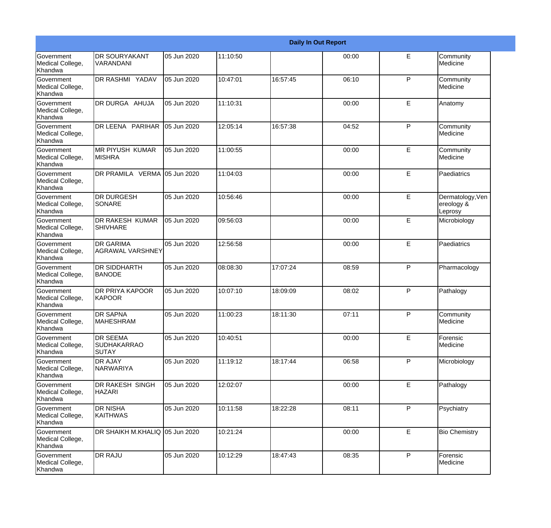|                                                  |                                                       |             |          |          | <b>Daily In Out Report</b> |              |                                           |
|--------------------------------------------------|-------------------------------------------------------|-------------|----------|----------|----------------------------|--------------|-------------------------------------------|
| Government<br>Medical College,<br>Khandwa        | <b>DR SOURYAKANT</b><br>VARANDANI                     | 05 Jun 2020 | 11:10:50 |          | 00:00                      | E            | Community<br>Medicine                     |
| <b>Government</b><br>Medical College,<br>Khandwa | DR RASHMI YADAV                                       | 05 Jun 2020 | 10:47:01 | 16:57:45 | 06:10                      | $\mathsf{P}$ | Community<br>Medicine                     |
| <b>Government</b><br>Medical College,<br>Khandwa | DR DURGA AHUJA                                        | 05 Jun 2020 | 11:10:31 |          | 00:00                      | E            | Anatomy                                   |
| <b>Government</b><br>Medical College,<br>Khandwa | DR LEENA PARIHAR                                      | 05 Jun 2020 | 12:05:14 | 16:57:38 | 04:52                      | P            | Community<br>Medicine                     |
| Government<br>Medical College,<br>Khandwa        | <b>MR PIYUSH KUMAR</b><br><b>MISHRA</b>               | 05 Jun 2020 | 11:00:55 |          | 00:00                      | E            | Community<br>Medicine                     |
| <b>Government</b><br>Medical College,<br>Khandwa | DR PRAMILA VERMA 05 Jun 2020                          |             | 11:04:03 |          | 00:00                      | E            | Paediatrics                               |
| Government<br>Medical College,<br>Khandwa        | <b>DR DURGESH</b><br><b>SONARE</b>                    | 05 Jun 2020 | 10:56:46 |          | 00:00                      | E            | Dermatology, Ven<br>ereology &<br>Leprosy |
| Government<br>Medical College,<br>Khandwa        | <b>DR RAKESH KUMAR</b><br><b>SHIVHARE</b>             | 05 Jun 2020 | 09:56:03 |          | 00:00                      | E            | Microbiology                              |
| <b>Government</b><br>Medical College,<br>Khandwa | <b>DR GARIMA</b><br><b>AGRAWAL VARSHNEY</b>           | 05 Jun 2020 | 12:56:58 |          | 00:00                      | E            | Paediatrics                               |
| <b>Government</b><br>Medical College,<br>Khandwa | <b>DR SIDDHARTH</b><br><b>BANODE</b>                  | 05 Jun 2020 | 08:08:30 | 17:07:24 | 08:59                      | P            | Pharmacology                              |
| Government<br>Medical College,<br>Khandwa        | DR PRIYA KAPOOR<br>KAPOOR                             | 05 Jun 2020 | 10:07:10 | 18:09:09 | 08:02                      | P            | Pathalogy                                 |
| Government<br>Medical College,<br>Khandwa        | <b>DR SAPNA</b><br><b>MAHESHRAM</b>                   | 05 Jun 2020 | 11:00:23 | 18:11:30 | 07:11                      | P            | Community<br>Medicine                     |
| Government<br>Medical College,<br>Khandwa        | <b>DR SEEMA</b><br><b>SUDHAKARRAO</b><br><b>SUTAY</b> | 05 Jun 2020 | 10:40:51 |          | 00:00                      | E            | Forensic<br>Medicine                      |
| Government<br>Medical College,<br>Khandwa        | <b>DR AJAY</b><br>NARWARIYA                           | 05 Jun 2020 | 11:19:12 | 18:17:44 | 06:58                      | P            | Microbiology                              |
| Government<br>Medical College,<br>Khandwa        | DR RAKESH SINGH<br><b>HAZARI</b>                      | 05 Jun 2020 | 12:02:07 |          | 00:00                      | E            | Pathalogy                                 |
| Government<br>Medical College,<br>Khandwa        | <b>DR NISHA</b><br><b>KAITHWAS</b>                    | 05 Jun 2020 | 10:11:58 | 18:22:28 | 08:11                      | P            | Psychiatry                                |
| Government<br>Medical College,<br>Khandwa        | DR SHAIKH M.KHALIQ 05 Jun 2020                        |             | 10:21:24 |          | 00:00                      | E            | <b>Bio Chemistry</b>                      |
| Government<br>Medical College,<br>Khandwa        | <b>DR RAJU</b>                                        | 05 Jun 2020 | 10:12:29 | 18:47:43 | 08:35                      | $\mathsf{P}$ | Forensic<br>Medicine                      |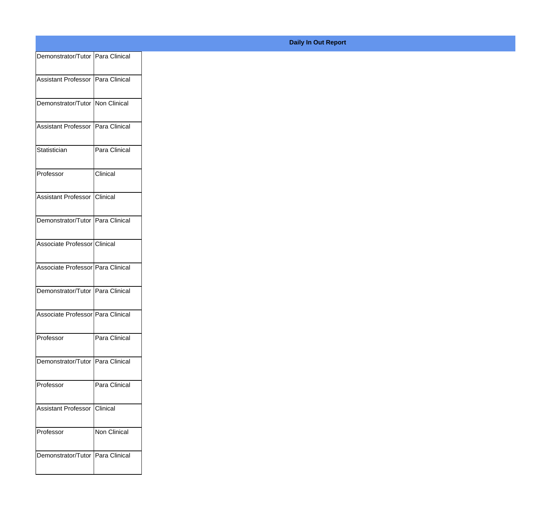| Demonstrator/Tutor Para Clinical  |               |
|-----------------------------------|---------------|
| Assistant Professor Para Clinical |               |
|                                   |               |
| Demonstrator/Tutor Non Clinical   |               |
| Assistant Professor Para Clinical |               |
|                                   |               |
| Statistician                      | Para Clinical |
| Professor                         | Clinical      |
|                                   |               |
| Assistant Professor Clinical      |               |
| Demonstrator/Tutor Para Clinical  |               |
| Associate Professor Clinical      |               |
|                                   |               |
| Associate Professor Para Clinical |               |
| Demonstrator/Tutor Para Clinical  |               |
|                                   |               |
| Associate Professor Para Clinical |               |
| Professor                         | Para Clinical |
|                                   |               |
| Demonstrator/Tutor Para Clinical  |               |
| Professor                         | Para Clinical |
| Assistant Professor Clinical      |               |
|                                   |               |
| Professor                         | Non Clinical  |
| Demonstrator/Tutor Para Clinical  |               |
|                                   |               |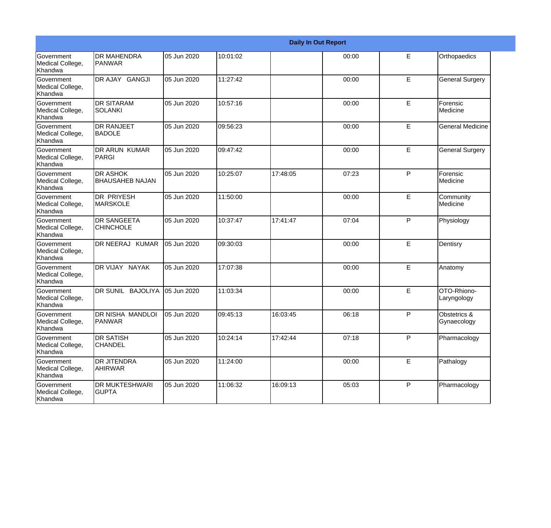|                                                         |                                            |             |          |          | <b>Daily In Out Report</b> |              |                             |
|---------------------------------------------------------|--------------------------------------------|-------------|----------|----------|----------------------------|--------------|-----------------------------|
| Government<br>Medical College,<br>Khandwa               | <b>DR MAHENDRA</b><br>PANWAR               | 05 Jun 2020 | 10:01:02 |          | 00:00                      | E            | Orthopaedics                |
| Government<br>Medical College,<br>Khandwa               | DR AJAY GANGJI                             | 05 Jun 2020 | 11:27:42 |          | 00:00                      | E            | <b>General Surgery</b>      |
| <b>Government</b><br>Medical College,<br><b>Khandwa</b> | <b>I</b> DR SITARAM<br><b>SOLANKI</b>      | 05 Jun 2020 | 10:57:16 |          | 00:00                      | E            | Forensic<br><b>Medicine</b> |
| Government<br>Medical College,<br>Khandwa               | <b>DR RANJEET</b><br><b>BADOLE</b>         | 05 Jun 2020 | 09:56:23 |          | 00:00                      | E            | <b>General Medicine</b>     |
| Government<br>Medical College,<br>Khandwa               | <b>DR ARUN KUMAR</b><br>PARGI              | 05 Jun 2020 | 09:47:42 |          | 00:00                      | E            | <b>General Surgery</b>      |
| Government<br>Medical College,<br>Khandwa               | <b>IDR ASHOK</b><br><b>BHAUSAHEB NAJAN</b> | 05 Jun 2020 | 10:25:07 | 17:48:05 | 07:23                      | P            | Forensic<br>Medicine        |
| Government<br>Medical College,<br>Khandwa               | IDR PRIYESH<br><b>MARSKOLE</b>             | 05 Jun 2020 | 11:50:00 |          | 00:00                      | E            | Community<br>Medicine       |
| Government<br>Medical College,<br>Khandwa               | <b>DR SANGEETA</b><br><b>CHINCHOLE</b>     | 05 Jun 2020 | 10:37:47 | 17:41:47 | 07:04                      | P            | Physiology                  |
| Government<br>Medical College,<br>Khandwa               | DR NEERAJ KUMAR                            | 05 Jun 2020 | 09:30:03 |          | 00:00                      | E            | Dentisry                    |
| <b>Government</b><br>Medical College,<br>Khandwa        | DR VIJAY NAYAK                             | 05 Jun 2020 | 17:07:38 |          | 00:00                      | E            | Anatomy                     |
| <b>Government</b><br>Medical College,<br>Khandwa        | DR SUNIL BAJOLIYA                          | 05 Jun 2020 | 11:03:34 |          | 00:00                      | E            | OTO-Rhiono-<br>Laryngology  |
| Government<br>Medical College,<br>Khandwa               | DR NISHA MANDLOI<br><b>PANWAR</b>          | 05 Jun 2020 | 09:45:13 | 16:03:45 | 06:18                      | P            | Obstetrics &<br>Gynaecology |
| Government<br>Medical College,<br>Khandwa               | <b>DR SATISH</b><br><b>CHANDEL</b>         | 05 Jun 2020 | 10:24:14 | 17:42:44 | 07:18                      | $\mathsf{P}$ | Pharmacology                |
| Government<br>Medical College,<br>Khandwa               | <b>DR JITENDRA</b><br>AHIRWAR              | 05 Jun 2020 | 11:24:00 |          | 00:00                      | $\mathsf E$  | Pathalogy                   |
| Government<br>Medical College,<br>Khandwa               | <b>DR MUKTESHWARI</b><br><b>GUPTA</b>      | 05 Jun 2020 | 11:06:32 | 16:09:13 | 05:03                      | P            | Pharmacology                |